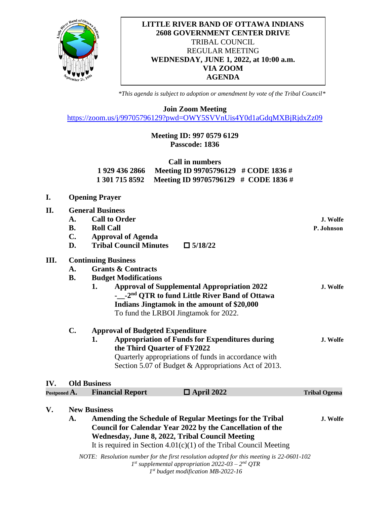

## **LITTLE RIVER BAND OF OTTAWA INDIANS 2608 GOVERNMENT CENTER DRIVE** TRIBAL COUNCIL REGULAR MEETING **WEDNESDAY, JUNE 1, 2022, at 10:00 a.m. VIA ZOOM AGENDA**

*\*This agenda is subject to adoption or amendment by vote of the Tribal Council\**

**Join Zoom Meeting**

<https://zoom.us/j/99705796129?pwd=OWY5SVVnUis4Y0d1aGdqMXBjRjdxZz09>

## **Meeting ID: 997 0579 6129 Passcode: 1836**

| Call in numbers |                                                     |  |  |  |
|-----------------|-----------------------------------------------------|--|--|--|
| 1 929 436 2866  | Meeting ID 99705796129 $\#$ CODE 1836 $\#$          |  |  |  |
|                 | 1 301 715 8592 Meeting ID 99705796129 # CODE 1836 # |  |  |  |

**I. Opening Prayer**

| II.                | A.<br><b>B.</b><br>$C_{\bullet}$<br>D. | <b>General Business</b><br><b>Call to Order</b><br><b>Roll Call</b><br><b>Approval of Agenda</b><br><b>Tribal Council Minutes</b><br>$\Box$ 5/18/22                                                                                              | J. Wolfe<br>P. Johnson |
|--------------------|----------------------------------------|--------------------------------------------------------------------------------------------------------------------------------------------------------------------------------------------------------------------------------------------------|------------------------|
| III.               |                                        | <b>Continuing Business</b>                                                                                                                                                                                                                       |                        |
|                    | A.                                     | <b>Grants &amp; Contracts</b>                                                                                                                                                                                                                    |                        |
|                    | <b>B.</b>                              | <b>Budget Modifications</b>                                                                                                                                                                                                                      |                        |
|                    |                                        | <b>Approval of Supplemental Appropriation 2022</b><br>1.<br>-__-2 <sup>nd</sup> QTR to fund Little River Band of Ottawa<br>Indians Jingtamok in the amount of \$20,000<br>To fund the LRBOI Jingtamok for 2022.                                  | J. Wolfe               |
|                    | $C_{\bullet}$                          | <b>Approval of Budgeted Expenditure</b>                                                                                                                                                                                                          |                        |
|                    |                                        | <b>Appropriation of Funds for Expenditures during</b><br>1.<br>the Third Quarter of FY2022                                                                                                                                                       | J. Wolfe               |
|                    |                                        | Quarterly appropriations of funds in accordance with<br>Section 5.07 of Budget & Appropriations Act of 2013.                                                                                                                                     |                        |
| IV.                |                                        | <b>Old Business</b>                                                                                                                                                                                                                              |                        |
| Postponed $\bf A.$ |                                        | $\Box$ April 2022<br><b>Financial Report</b>                                                                                                                                                                                                     | <b>Tribal Ogema</b>    |
| V.                 |                                        | <b>New Business</b>                                                                                                                                                                                                                              |                        |
| A.                 |                                        | Amending the Schedule of Regular Meetings for the Tribal<br>Council for Calendar Year 2022 by the Cancellation of the<br>Wednesday, June 8, 2022, Tribal Council Meeting<br>It is required in Section $4.01(c)(1)$ of the Tribal Council Meeting | J. Wolfe               |
|                    |                                        | NOTE: Resolution number for the first resolution adopted for this meeting is 22-0601-102<br>$1^{st}$ supplemental appropriation 2022-03 - $2^{nd}$ QTR<br>$1^{st}$ budget modification MB-2022-16                                                |                        |